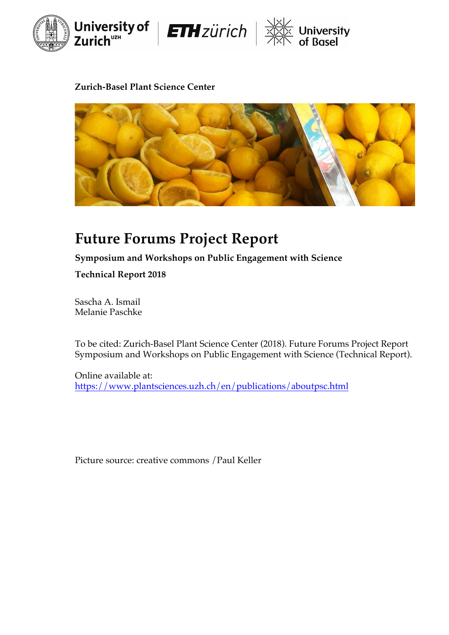





### **Zurich-Basel Plant Science Center**



# **Future Forums Project Report**

**Symposium and Workshops on Public Engagement with Science**

**Technical Report 2018**

Sascha A. Ismail Melanie Paschke

To be cited: Zurich-Basel Plant Science Center (2018). Future Forums Project Report Symposium and Workshops on Public Engagement with Science (Technical Report).

Online available at: https://www.plantsciences.uzh.ch/en/publications/aboutpsc.html

Picture source: creative commons /Paul Keller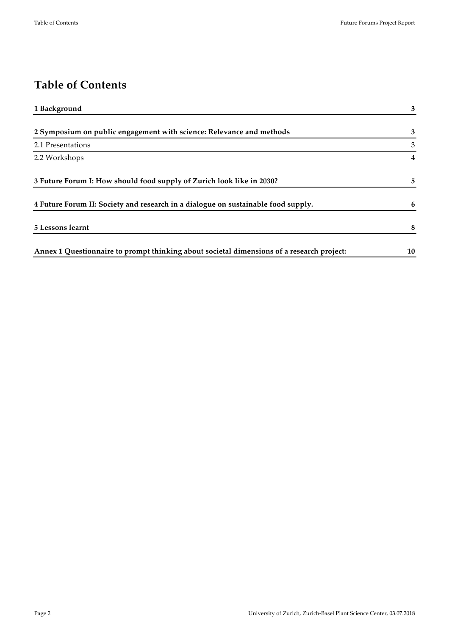# **Table of Contents**

| 1 Background                                                                              | 3              |
|-------------------------------------------------------------------------------------------|----------------|
| 2 Symposium on public engagement with science: Relevance and methods                      | 3              |
| 2.1 Presentations                                                                         | 3              |
| 2.2 Workshops                                                                             | $\overline{4}$ |
| 3 Future Forum I: How should food supply of Zurich look like in 2030?                     | 5              |
| 4 Future Forum II: Society and research in a dialogue on sustainable food supply.         | 6              |
| 5 Lessons learnt                                                                          | 8              |
| Annex 1 Questionnaire to prompt thinking about societal dimensions of a research project: | 10             |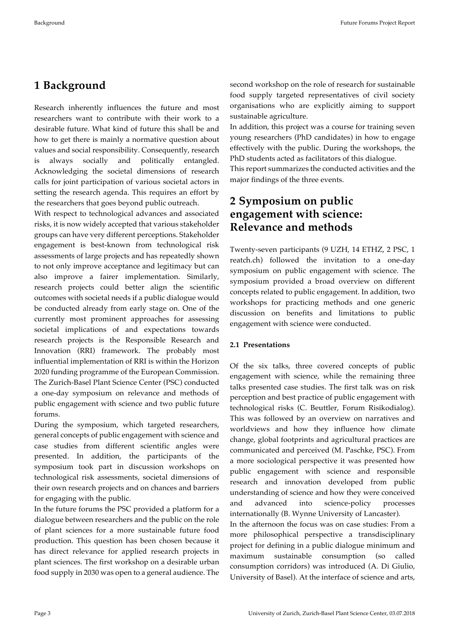## **1 Background**

Research inherently influences the future and most researchers want to contribute with their work to a desirable future. What kind of future this shall be and how to get there is mainly a normative question about values and social responsibility. Consequently, research is always socially and politically entangled. Acknowledging the societal dimensions of research calls for joint participation of various societal actors in setting the research agenda. This requires an effort by the researchers that goes beyond public outreach.

With respect to technological advances and associated risks, it is now widely accepted that various stakeholder groups can have very different perceptions. Stakeholder engagement is best-known from technological risk assessments of large projects and has repeatedly shown to not only improve acceptance and legitimacy but can also improve a fairer implementation. Similarly, research projects could better align the scientific outcomes with societal needs if a public dialogue would be conducted already from early stage on. One of the currently most prominent approaches for assessing societal implications of and expectations towards research projects is the Responsible Research and Innovation (RRI) framework. The probably most influential implementation of RRI is within the Horizon 2020 funding programme of the European Commission. The Zurich-Basel Plant Science Center (PSC) conducted a one-day symposium on relevance and methods of public engagement with science and two public future forums.

During the symposium, which targeted researchers, general concepts of public engagement with science and case studies from different scientific angles were presented. In addition, the participants of the symposium took part in discussion workshops on technological risk assessments, societal dimensions of their own research projects and on chances and barriers for engaging with the public.

In the future forums the PSC provided a platform for a dialogue between researchers and the public on the role of plant sciences for a more sustainable future food production. This question has been chosen because it has direct relevance for applied research projects in plant sciences. The first workshop on a desirable urban food supply in 2030 was open to a general audience. The

second workshop on the role of research for sustainable food supply targeted representatives of civil society organisations who are explicitly aiming to support sustainable agriculture.

In addition, this project was a course for training seven young researchers (PhD candidates) in how to engage effectively with the public. During the workshops, the PhD students acted as facilitators of this dialogue.

This report summarizes the conducted activities and the major findings of the three events.

### **2 Symposium on public engagement with science: Relevance and methods**

Twenty-seven participants (9 UZH, 14 ETHZ, 2 PSC, 1 reatch.ch) followed the invitation to a one-day symposium on public engagement with science. The symposium provided a broad overview on different concepts related to public engagement. In addition, two workshops for practicing methods and one generic discussion on benefits and limitations to public engagement with science were conducted.

#### **2.1 Presentations**

Of the six talks, three covered concepts of public engagement with science, while the remaining three talks presented case studies. The first talk was on risk perception and best practice of public engagement with technological risks (C. Beuttler, Forum Risikodialog). This was followed by an overview on narratives and worldviews and how they influence how climate change, global footprints and agricultural practices are communicated and perceived (M. Paschke, PSC). From a more sociological perspective it was presented how public engagement with science and responsible research and innovation developed from public understanding of science and how they were conceived and advanced into science-policy processes internationally (B. Wynne University of Lancaster).

In the afternoon the focus was on case studies: From a more philosophical perspective a transdisciplinary project for defining in a public dialogue minimum and maximum sustainable consumption (so called consumption corridors) was introduced (A. Di Giulio, University of Basel). At the interface of science and arts,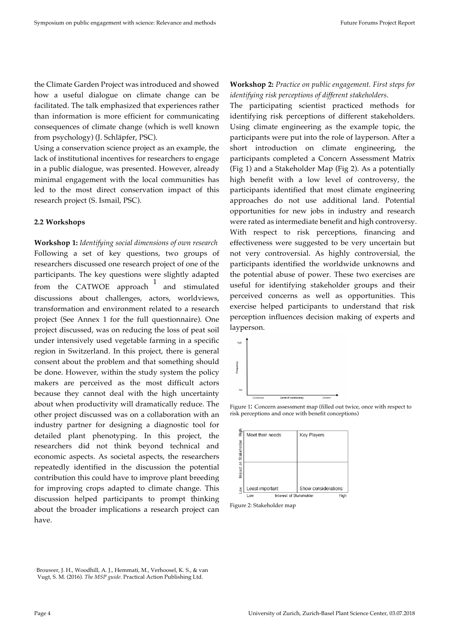the Climate Garden Project was introduced and showed how a useful dialogue on climate change can be facilitated. The talk emphasized that experiences rather than information is more efficient for communicating consequences of climate change (which is well known from psychology) (J. Schläpfer, PSC).

Using a conservation science project as an example, the lack of institutional incentives for researchers to engage in a public dialogue, was presented. However, already minimal engagement with the local communities has led to the most direct conservation impact of this research project (S. Ismail, PSC).

#### **2.2 Workshops**

**Workshop 1:** *Identifying social dimensions of own research* Following a set of key questions, two groups of researchers discussed one research project of one of the participants. The key questions were slightly adapted from the CATWOE approach  $\frac{1}{1}$  and stimulated discussions about challenges, actors, worldviews, transformation and environment related to a research project (See Annex 1 for the full questionnaire). One project discussed, was on reducing the loss of peat soil under intensively used vegetable farming in a specific region in Switzerland. In this project, there is general consent about the problem and that something should be done. However, within the study system the policy makers are perceived as the most difficult actors because they cannot deal with the high uncertainty about when productivity will dramatically reduce. The other project discussed was on a collaboration with an industry partner for designing a diagnostic tool for detailed plant phenotyping. In this project, the researchers did not think beyond technical and economic aspects. As societal aspects, the researchers repeatedly identified in the discussion the potential contribution this could have to improve plant breeding for improving crops adapted to climate change. This discussion helped participants to prompt thinking about the broader implications a research project can have.

**Workshop 2:** *Practice on public engagement. First steps for identifying risk perceptions of different stakeholders.*

The participating scientist practiced methods for identifying risk perceptions of different stakeholders. Using climate engineering as the example topic, the participants were put into the role of layperson. After a short introduction on climate engineering, the participants completed a Concern Assessment Matrix (Fig 1) and a Stakeholder Map (Fig 2). As a potentially high benefit with a low level of controversy, the participants identified that most climate engineering approaches do not use additional land. Potential opportunities for new jobs in industry and research were rated as intermediate benefit and high controversy. With respect to risk perceptions, financing and effectiveness were suggested to be very uncertain but not very controversial. As highly controversial, the participants identified the worldwide unknowns and the potential abuse of power. These two exercises are useful for identifying stakeholder groups and their perceived concerns as well as opportunities. This exercise helped participants to understand that risk perception influences decision making of experts and layperson.



Figure 1: Concern assessment map (filled out twice, once with respect to risk perceptions and once with benefit conceptions)



Figure 2: Stakeholder map

<sup>1</sup> Brouwer, J. H., Woodhill, A. J., Hemmati, M., Verhoosel, K. S., & van Vugt, S. M. (2016). *The MSP guide*. Practical Action Publishing Ltd.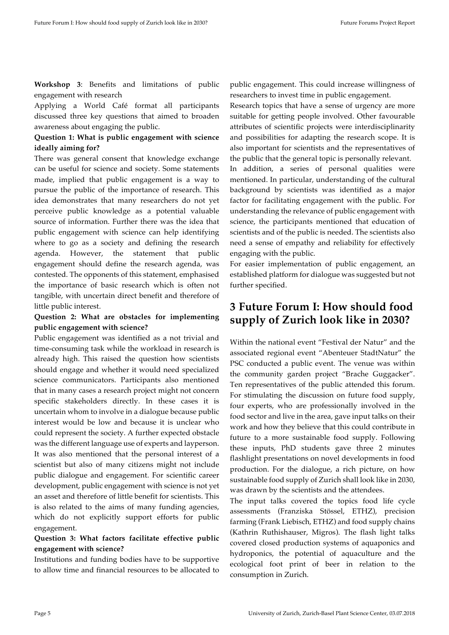**Workshop 3**: Benefits and limitations of public engagement with research

Applying a World Café format all participants discussed three key questions that aimed to broaden awareness about engaging the public.

#### **Question 1: What is public engagement with science ideally aiming for?**

There was general consent that knowledge exchange can be useful for science and society. Some statements made, implied that public engagement is a way to pursue the public of the importance of research. This idea demonstrates that many researchers do not yet perceive public knowledge as a potential valuable source of information. Further there was the idea that public engagement with science can help identifying where to go as a society and defining the research agenda. However, the statement that public engagement should define the research agenda, was contested. The opponents of this statement, emphasised the importance of basic research which is often not tangible, with uncertain direct benefit and therefore of little public interest.

#### **Question 2: What are obstacles for implementing public engagement with science?**

Public engagement was identified as a not trivial and time-consuming task while the workload in research is already high. This raised the question how scientists should engage and whether it would need specialized science communicators. Participants also mentioned that in many cases a research project might not concern specific stakeholders directly. In these cases it is uncertain whom to involve in a dialogue because public interest would be low and because it is unclear who could represent the society. A further expected obstacle was the different language use of experts and layperson. It was also mentioned that the personal interest of a scientist but also of many citizens might not include public dialogue and engagement. For scientific career development, public engagement with science is not yet an asset and therefore of little benefit for scientists. This is also related to the aims of many funding agencies, which do not explicitly support efforts for public engagement.

#### **Question 3: What factors facilitate effective public engagement with science?**

Institutions and funding bodies have to be supportive to allow time and financial resources to be allocated to public engagement. This could increase willingness of researchers to invest time in public engagement.

Research topics that have a sense of urgency are more suitable for getting people involved. Other favourable attributes of scientific projects were interdisciplinarity and possibilities for adapting the research scope. It is also important for scientists and the representatives of the public that the general topic is personally relevant.

In addition, a series of personal qualities were mentioned. In particular, understanding of the cultural background by scientists was identified as a major factor for facilitating engagement with the public. For understanding the relevance of public engagement with science, the participants mentioned that education of scientists and of the public is needed. The scientists also need a sense of empathy and reliability for effectively engaging with the public.

For easier implementation of public engagement, an established platform for dialogue was suggested but not further specified.

### **3 Future Forum I: How should food supply of Zurich look like in 2030?**

Within the national event "Festival der Natur" and the associated regional event "Abenteuer StadtNatur" the PSC conducted a public event. The venue was within the community garden project "Brache Guggacker". Ten representatives of the public attended this forum. For stimulating the discussion on future food supply, four experts, who are professionally involved in the food sector and live in the area, gave input talks on their work and how they believe that this could contribute in future to a more sustainable food supply. Following these inputs, PhD students gave three 2 minutes flashlight presentations on novel developments in food production. For the dialogue, a rich picture, on how sustainable food supply of Zurich shall look like in 2030, was drawn by the scientists and the attendees.

The input talks covered the topics food life cycle assessments (Franziska Stössel, ETHZ), precision farming (Frank Liebisch, ETHZ) and food supply chains (Kathrin Ruthishauser, Migros). The flash light talks covered closed production systems of aquaponics and hydroponics, the potential of aquaculture and the ecological foot print of beer in relation to the consumption in Zurich.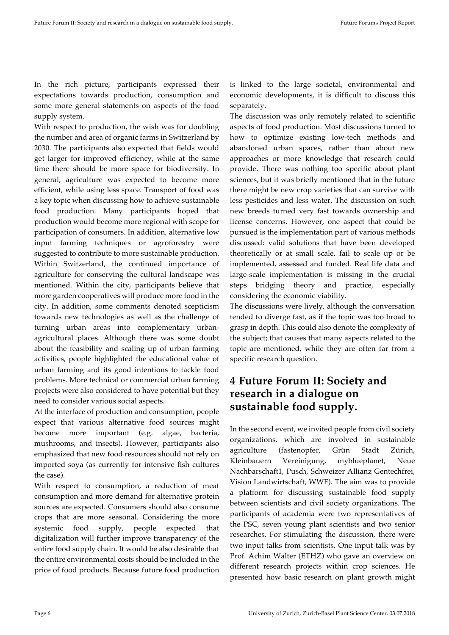In the rich picture, participants expressed their expectations towards production, consumption and some more general statements on aspects of the food supply system.

With respect to production, the wish was for doubling the number and area of organic farms in Switzerland by 2030. The participants also expected that fields would get larger for improved efficiency, while at the same time there should be more space for biodiversity. In general, agriculture was expected to become more efficient, while using less space. Transport of food was a key topic when discussing how to achieve sustainable food production. Many participants hoped that production would become more regional with scope for participation of consumers. In addition, alternative low input farming techniques or agroforestry were suggested to contribute to more sustainable production. Within Switzerland, the continued importance of agriculture for conserving the cultural landscape was mentioned. Within the city, participants believe that more garden cooperatives will produce more food in the city. In addition, some comments denoted scepticism towards new technologies as well as the challenge of turning urban areas into complementary urbanagricultural places. Although there was some doubt about the feasibility and scaling up of urban farming activities, people highlighted the educational value of urban farming and its good intentions to tackle food problems. More technical or commercial urban farming projects were also considered to have potential but they need to consider various social aspects.

At the interface of production and consumption, people expect that various alternative food sources might become more important (e.g. algae, bacteria, mushrooms, and insects). However, participants also emphasized that new food resources should not rely on imported soya (as currently for intensive fish cultures the case).

With respect to consumption, a reduction of meat consumption and more demand for alternative protein sources are expected. Consumers should also consume crops that are more seasonal. Considering the more systemic food supply, people expected that digitalization will further improve transparency of the entire food supply chain. It would be also desirable that the entire environmental costs should be included in the price of food products. Because future food production

is linked to the large societal, environmental and economic developments, it is difficult to discuss this separately.

The discussion was only remotely related to scientific aspects of food production. Most discussions turned to how to optimize existing low-tech methods and abandoned urban spaces, rather than about new approaches or more knowledge that research could provide. There was nothing too specific about plant sciences, but it was briefly mentioned that in the future there might be new crop varieties that can survive with less pesticides and less water. The discussion on such new breeds turned very fast towards ownership and license concerns. However, one aspect that could be pursued is the implementation part of various methods discussed: valid solutions that have been developed theoretically or at small scale, fail to scale up or be implemented, assessed and funded. Real life data and large-scale implementation is missing in the crucial steps bridging theory and practice, especially considering the economic viability.

The discussions were lively, although the conversation tended to diverge fast, as if the topic was too broad to grasp in depth. This could also denote the complexity of the subject; that causes that many aspects related to the topic are mentioned, while they are often far from a specific research question.

### **4 Future Forum II: Society and research in a dialogue on sustainable food supply.**

In the second event, we invited people from civil society organizations, which are involved in sustainable agriculture (fastenopfer, Grün Stadt Zürich, Kleinbauern Vereinigung, myblueplanet, Neue Nachbarschaft1, Pusch, Schweizer Allianz Gentechfrei, Vision Landwirtschaft, WWF). The aim was to provide a platform for discussing sustainable food supply between scientists and civil society organizations. The participants of academia were two representatives of the PSC, seven young plant scientists and two senior researches. For stimulating the discussion, there were two input talks from scientists. One input talk was by Prof. Achim Walter (ETHZ) who gave an overview on different research projects within crop sciences. He presented how basic research on plant growth might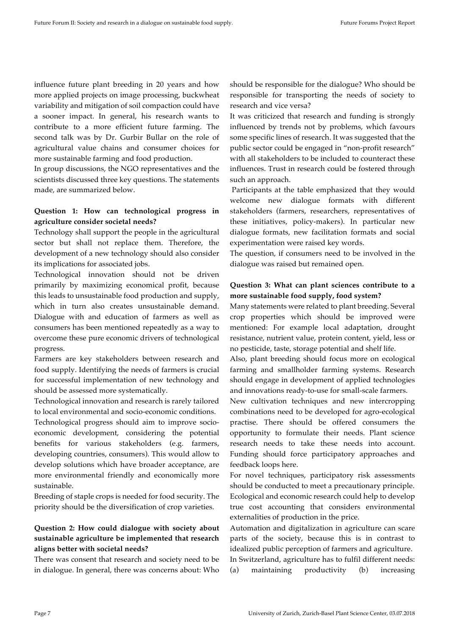influence future plant breeding in 20 years and how more applied projects on image processing, buckwheat variability and mitigation of soil compaction could have a sooner impact. In general, his research wants to contribute to a more efficient future farming. The second talk was by Dr. Gurbir Bullar on the role of agricultural value chains and consumer choices for more sustainable farming and food production.

In group discussions, the NGO representatives and the scientists discussed three key questions. The statements made, are summarized below.

#### **Question 1: How can technological progress in agriculture consider societal needs?**

Technology shall support the people in the agricultural sector but shall not replace them. Therefore, the development of a new technology should also consider its implications for associated jobs.

Technological innovation should not be driven primarily by maximizing economical profit, because this leads to unsustainable food production and supply, which in turn also creates unsustainable demand. Dialogue with and education of farmers as well as consumers has been mentioned repeatedly as a way to overcome these pure economic drivers of technological progress.

Farmers are key stakeholders between research and food supply. Identifying the needs of farmers is crucial for successful implementation of new technology and should be assessed more systematically.

Technological innovation and research is rarely tailored to local environmental and socio-economic conditions.

Technological progress should aim to improve socioeconomic development, considering the potential benefits for various stakeholders (e.g. farmers, developing countries, consumers). This would allow to develop solutions which have broader acceptance, are more environmental friendly and economically more sustainable.

Breeding of staple crops is needed for food security. The priority should be the diversification of crop varieties.

#### **Question 2: How could dialogue with society about sustainable agriculture be implemented that research aligns better with societal needs?**

There was consent that research and society need to be in dialogue. In general, there was concerns about: Who should be responsible for the dialogue? Who should be responsible for transporting the needs of society to research and vice versa?

It was criticized that research and funding is strongly influenced by trends not by problems, which favours some specific lines of research. It was suggested that the public sector could be engaged in "non-profit research" with all stakeholders to be included to counteract these influences. Trust in research could be fostered through such an approach.

Participants at the table emphasized that they would welcome new dialogue formats with different stakeholders (farmers, researchers, representatives of these initiatives, policy-makers). In particular new dialogue formats, new facilitation formats and social experimentation were raised key words.

The question, if consumers need to be involved in the dialogue was raised but remained open.

#### **Question 3: What can plant sciences contribute to a more sustainable food supply, food system?**

Many statements were related to plant breeding. Several crop properties which should be improved were mentioned: For example local adaptation, drought resistance, nutrient value, protein content, yield, less or no pesticide, taste, storage potential and shelf life.

Also, plant breeding should focus more on ecological farming and smallholder farming systems. Research should engage in development of applied technologies and innovations ready-to-use for small-scale farmers.

New cultivation techniques and new intercropping combinations need to be developed for agro-ecological practise. There should be offered consumers the opportunity to formulate their needs. Plant science research needs to take these needs into account. Funding should force participatory approaches and feedback loops here.

For novel techniques, participatory risk assessments should be conducted to meet a precautionary principle. Ecological and economic research could help to develop true cost accounting that considers environmental externalities of production in the price.

Automation and digitalization in agriculture can scare parts of the society, because this is in contrast to idealized public perception of farmers and agriculture. In Switzerland, agriculture has to fulfil different needs: (a) maintaining productivity (b) increasing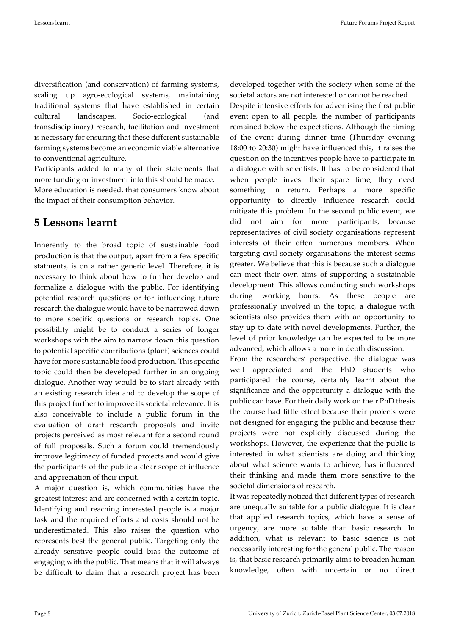diversification (and conservation) of farming systems, scaling up agro-ecological systems, maintaining traditional systems that have established in certain cultural landscapes. Socio-ecological (and transdisciplinary) research, facilitation and investment is necessary for ensuring that these different sustainable farming systems become an economic viable alternative to conventional agriculture.

Participants added to many of their statements that more funding or investment into this should be made.

More education is needed, that consumers know about the impact of their consumption behavior.

### **5 Lessons learnt**

Inherently to the broad topic of sustainable food production is that the output, apart from a few specific statments, is on a rather generic level. Therefore, it is necessary to think about how to further develop and formalize a dialogue with the public. For identifying potential research questions or for influencing future research the dialogue would have to be narrowed down to more specific questions or research topics. One possibility might be to conduct a series of longer workshops with the aim to narrow down this question to potential specific contributions (plant) sciences could have for more sustainable food production. This specific topic could then be developed further in an ongoing dialogue. Another way would be to start already with an existing research idea and to develop the scope of this project further to improve its societal relevance. It is also conceivable to include a public forum in the evaluation of draft research proposals and invite projects perceived as most relevant for a second round of full proposals. Such a forum could tremendously improve legitimacy of funded projects and would give the participants of the public a clear scope of influence and appreciation of their input.

A major question is, which communities have the greatest interest and are concerned with a certain topic. Identifying and reaching interested people is a major task and the required efforts and costs should not be underestimated. This also raises the question who represents best the general public. Targeting only the already sensitive people could bias the outcome of engaging with the public. That means that it will always be difficult to claim that a research project has been

developed together with the society when some of the societal actors are not interested or cannot be reached.

Despite intensive efforts for advertising the first public event open to all people, the number of participants remained below the expectations. Although the timing of the event during dinner time (Thursday evening 18:00 to 20:30) might have influenced this, it raises the question on the incentives people have to participate in a dialogue with scientists. It has to be considered that when people invest their spare time, they need something in return. Perhaps a more specific opportunity to directly influence research could mitigate this problem. In the second public event, we did not aim for more participants, because representatives of civil society organisations represent interests of their often numerous members. When targeting civil society organisations the interest seems greater. We believe that this is because such a dialogue can meet their own aims of supporting a sustainable development. This allows conducting such workshops during working hours. As these people are professionally involved in the topic, a dialogue with scientists also provides them with an opportunity to stay up to date with novel developments. Further, the level of prior knowledge can be expected to be more advanced, which allows a more in depth discussion.

From the researchers' perspective, the dialogue was well appreciated and the PhD students who participated the course, certainly learnt about the significance and the opportunity a dialogue with the public can have. For their daily work on their PhD thesis the course had little effect because their projects were not designed for engaging the public and because their projects were not explicitly discussed during the workshops. However, the experience that the public is interested in what scientists are doing and thinking about what science wants to achieve, has influenced their thinking and made them more sensitive to the societal dimensions of research.

It was repeatedly noticed that different types of research are unequally suitable for a public dialogue. It is clear that applied research topics, which have a sense of urgency, are more suitable than basic research. In addition, what is relevant to basic science is not necessarily interesting for the general public. The reason is, that basic research primarily aims to broaden human knowledge, often with uncertain or no direct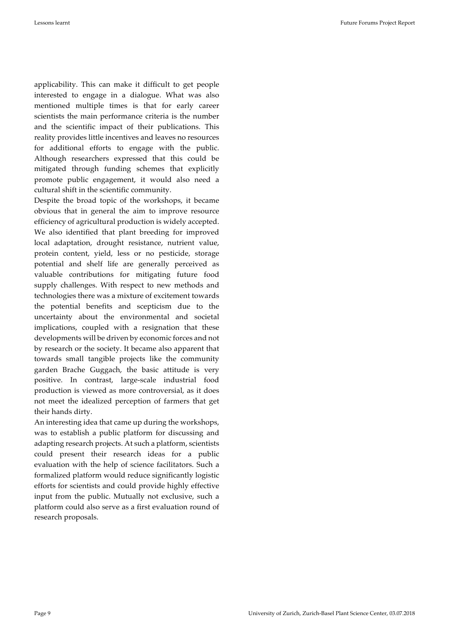applicability. This can make it difficult to get people interested to engage in a dialogue. What was also mentioned multiple times is that for early career scientists the main performance criteria is the number and the scientific impact of their publications. This reality provides little incentives and leaves no resources for additional efforts to engage with the public. Although researchers expressed that this could be mitigated through funding schemes that explicitly promote public engagement, it would also need a cultural shift in the scientific community.

Despite the broad topic of the workshops, it became obvious that in general the aim to improve resource efficiency of agricultural production is widely accepted. We also identified that plant breeding for improved local adaptation, drought resistance, nutrient value, protein content, yield, less or no pesticide, storage potential and shelf life are generally perceived as valuable contributions for mitigating future food supply challenges. With respect to new methods and technologies there was a mixture of excitement towards the potential benefits and scepticism due to the uncertainty about the environmental and societal implications, coupled with a resignation that these developments will be driven by economic forces and not by research or the society. It became also apparent that towards small tangible projects like the community garden Brache Guggach, the basic attitude is very positive. In contrast, large-scale industrial food production is viewed as more controversial, as it does not meet the idealized perception of farmers that get their hands dirty.

An interesting idea that came up during the workshops, was to establish a public platform for discussing and adapting research projects. At such a platform, scientists could present their research ideas for a public evaluation with the help of science facilitators. Such a formalized platform would reduce significantly logistic efforts for scientists and could provide highly effective input from the public. Mutually not exclusive, such a platform could also serve as a first evaluation round of research proposals.